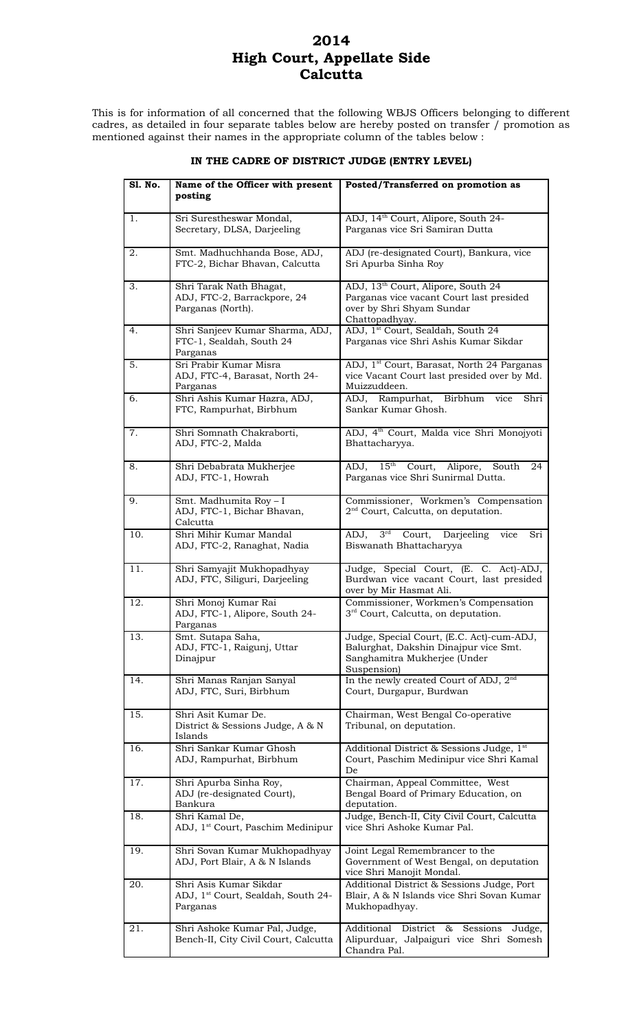# **2014 High Court, Appellate Side Calcutta**

This is for information of all concerned that the following WBJS Officers belonging to different cadres, as detailed in four separate tables below are hereby posted on transfer / promotion as mentioned against their names in the appropriate column of the tables below :

| S1. No. | Name of the Officer with present                                                     | Posted/Transferred on promotion as                                                                                                        |
|---------|--------------------------------------------------------------------------------------|-------------------------------------------------------------------------------------------------------------------------------------------|
|         | posting                                                                              |                                                                                                                                           |
|         |                                                                                      |                                                                                                                                           |
| 1.      | Sri Surestheswar Mondal,<br>Secretary, DLSA, Darjeeling                              | ADJ, 14 <sup>th</sup> Court, Alipore, South 24-<br>Parganas vice Sri Samiran Dutta                                                        |
| 2.      | Smt. Madhuchhanda Bose, ADJ,<br>FTC-2, Bichar Bhavan, Calcutta                       | ADJ (re-designated Court), Bankura, vice<br>Sri Apurba Sinha Roy                                                                          |
| 3.      | Shri Tarak Nath Bhagat,<br>ADJ, FTC-2, Barrackpore, 24<br>Parganas (North).          | ADJ, 13 <sup>th</sup> Court, Alipore, South 24<br>Parganas vice vacant Court last presided<br>over by Shri Shyam Sundar<br>Chattopadhyay. |
| 4.      | Shri Sanjeev Kumar Sharma, ADJ,<br>FTC-1, Sealdah, South 24<br>Parganas              | ADJ, 1 <sup>st</sup> Court, Sealdah, South 24<br>Parganas vice Shri Ashis Kumar Sikdar                                                    |
| 5.      | Sri Prabir Kumar Misra<br>ADJ, FTC-4, Barasat, North 24-<br>Parganas                 | ADJ, 1 <sup>st</sup> Court, Barasat, North 24 Parganas<br>vice Vacant Court last presided over by Md.<br>Muizzuddeen.                     |
| 6.      | Shri Ashis Kumar Hazra, ADJ,<br>FTC, Rampurhat, Birbhum                              | ADJ, Rampurhat, Birbhum vice<br>Shri<br>Sankar Kumar Ghosh.                                                                               |
| 7.      | Shri Somnath Chakraborti,<br>ADJ, FTC-2, Malda                                       | ADJ, 4 <sup>th</sup> Court, Malda vice Shri Monojyoti<br>Bhattacharyya.                                                                   |
| 8.      | Shri Debabrata Mukherjee<br>ADJ, FTC-1, Howrah                                       | ADJ, 15 <sup>th</sup> Court, Alipore,<br>South<br>24<br>Parganas vice Shri Sunirmal Dutta.                                                |
| 9.      | Smt. Madhumita Roy - I<br>ADJ, FTC-1, Bichar Bhavan,<br>Calcutta                     | Commissioner, Workmen's Compensation<br>2 <sup>nd</sup> Court, Calcutta, on deputation.                                                   |
| 10.     | Shri Mihir Kumar Mandal<br>ADJ, FTC-2, Ranaghat, Nadia                               | $3rd$ Court, Darjeeling vice<br>ADJ,<br>Sri<br>Biswanath Bhattacharyya                                                                    |
| 11.     | Shri Samyajit Mukhopadhyay<br>ADJ, FTC, Siliguri, Darjeeling                         | Judge, Special Court, (E. C. Act)-ADJ,<br>Burdwan vice vacant Court, last presided<br>over by Mir Hasmat Ali.                             |
| 12.     | Shri Monoj Kumar Rai<br>ADJ, FTC-1, Alipore, South 24-<br>Parganas                   | Commissioner, Workmen's Compensation<br>3 <sup>rd</sup> Court, Calcutta, on deputation.                                                   |
| 13.     | Smt. Sutapa Saha,<br>ADJ, FTC-1, Raigunj, Uttar<br>Dinajpur                          | Judge, Special Court, (E.C. Act)-cum-ADJ,<br>Balurghat, Dakshin Dinajpur vice Smt.<br>Sanghamitra Mukherjee (Under<br>Suspension)         |
| 14.     | Shri Manas Ranjan Sanyal<br>ADJ, FTC, Suri, Birbhum                                  | In the newly created Court of ADJ, 2 <sup>nd</sup><br>Court, Durgapur, Burdwan                                                            |
| 15.     | Shri Asit Kumar De.<br>District & Sessions Judge, A & N<br>Islands                   | Chairman, West Bengal Co-operative<br>Tribunal, on deputation.                                                                            |
| 16.     | Shri Sankar Kumar Ghosh<br>ADJ, Rampurhat, Birbhum                                   | Additional District & Sessions Judge, 1st<br>Court, Paschim Medinipur vice Shri Kamal<br>De                                               |
| 17.     | Shri Apurba Sinha Roy,<br>ADJ (re-designated Court),<br>Bankura                      | Chairman, Appeal Committee, West<br>Bengal Board of Primary Education, on<br>deputation.                                                  |
| 18.     | Shri Kamal De,<br>ADJ, 1 <sup>st</sup> Court, Paschim Medinipur                      | Judge, Bench-II, City Civil Court, Calcutta<br>vice Shri Ashoke Kumar Pal.                                                                |
| 19.     | Shri Sovan Kumar Mukhopadhyay<br>ADJ, Port Blair, A & N Islands                      | Joint Legal Remembrancer to the<br>Government of West Bengal, on deputation<br>vice Shri Manojit Mondal.                                  |
| 20.     | Shri Asis Kumar Sikdar<br>ADJ, 1 <sup>st</sup> Court, Sealdah, South 24-<br>Parganas | Additional District & Sessions Judge, Port<br>Blair, A & N Islands vice Shri Sovan Kumar<br>Mukhopadhyay.                                 |
| 21.     | Shri Ashoke Kumar Pal, Judge,<br>Bench-II, City Civil Court, Calcutta                | Additional District &<br>Sessions<br>Judge,<br>Alipurduar, Jalpaiguri vice Shri Somesh<br>Chandra Pal.                                    |

#### **IN THE CADRE OF DISTRICT JUDGE (ENTRY LEVEL)**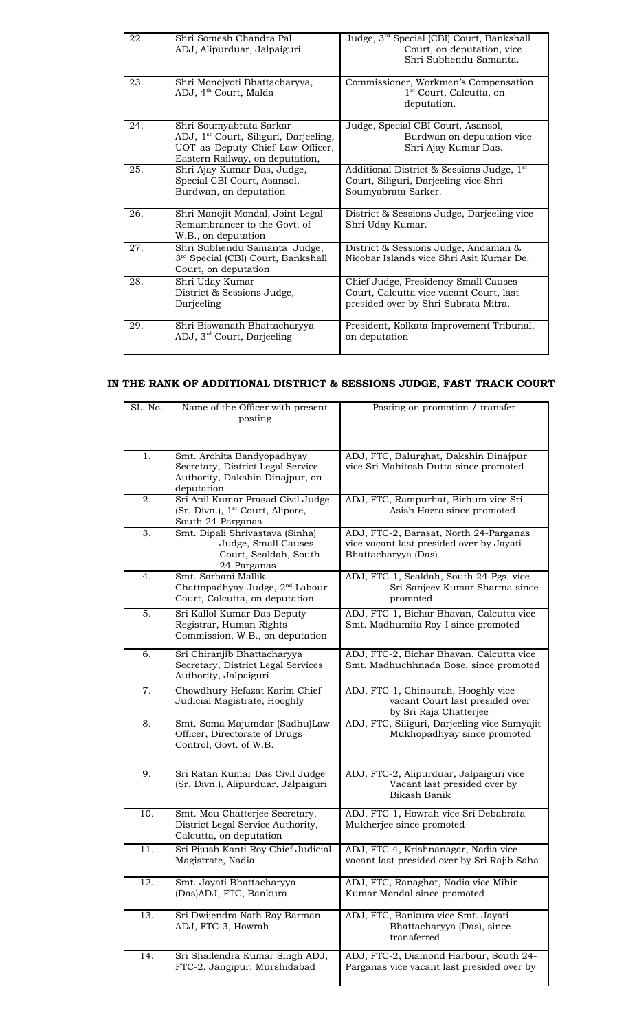| 22. | Shri Somesh Chandra Pal<br>ADJ, Alipurduar, Jalpaiguri                                                                                              | Judge, 3rd Special (CBI) Court, Bankshall<br>Court, on deputation, vice<br>Shri Subhendu Samanta.                       |
|-----|-----------------------------------------------------------------------------------------------------------------------------------------------------|-------------------------------------------------------------------------------------------------------------------------|
| 23. | Shri Monojyoti Bhattacharyya,<br>ADJ, 4 <sup>th</sup> Court, Malda                                                                                  | Commissioner, Workmen's Compensation<br>1 <sup>st</sup> Court, Calcutta, on<br>deputation.                              |
| 24. | Shri Soumyabrata Sarkar<br>ADJ, 1 <sup>st</sup> Court, Siliguri, Darjeeling,<br>UOT as Deputy Chief Law Officer,<br>Eastern Railway, on deputation, | Judge, Special CBI Court, Asansol,<br>Burdwan on deputation vice<br>Shri Ajay Kumar Das.                                |
| 25. | Shri Ajay Kumar Das, Judge,<br>Special CBI Court, Asansol,<br>Burdwan, on deputation                                                                | Additional District & Sessions Judge, 1st<br>Court, Siliguri, Darjeeling vice Shri<br>Soumyabrata Sarker.               |
| 26. | Shri Manojit Mondal, Joint Legal<br>Remambrancer to the Govt. of<br>W.B., on deputation                                                             | District & Sessions Judge, Darjeeling vice<br>Shri Uday Kumar.                                                          |
| 27. | Shri Subhendu Samanta Judge,<br>3 <sup>rd</sup> Special (CBI) Court, Bankshall<br>Court, on deputation                                              | District & Sessions Judge, Andaman &<br>Nicobar Islands vice Shri Asit Kumar De.                                        |
| 28. | Shri Uday Kumar<br>District & Sessions Judge,<br>Darjeeling                                                                                         | Chief Judge, Presidency Small Causes<br>Court, Calcutta vice vacant Court, last<br>presided over by Shri Subrata Mitra. |
| 29. | Shri Biswanath Bhattacharyya<br>ADJ, 3 <sup>rd</sup> Court, Darjeeling                                                                              | President, Kolkata Improvement Tribunal,<br>on deputation                                                               |

## **IN THE RANK OF ADDITIONAL DISTRICT & SESSIONS JUDGE, FAST TRACK COURT**

| SL. No. | Name of the Officer with present                               | Posting on promotion / transfer                                           |
|---------|----------------------------------------------------------------|---------------------------------------------------------------------------|
|         | posting                                                        |                                                                           |
|         |                                                                |                                                                           |
|         |                                                                |                                                                           |
| 1.      | Smt. Archita Bandyopadhyay                                     | ADJ, FTC, Balurghat, Dakshin Dinajpur                                     |
|         | Secretary, District Legal Service                              | vice Sri Mahitosh Dutta since promoted                                    |
|         | Authority, Dakshin Dinajpur, on                                |                                                                           |
| 2.      | deputation<br>Sri Anil Kumar Prasad Civil Judge                | ADJ, FTC, Rampurhat, Birhum vice Sri                                      |
|         | (Sr. Divn.), 1 <sup>st</sup> Court, Alipore,                   | Asish Hazra since promoted                                                |
|         | South 24-Parganas                                              |                                                                           |
| 3.      | Smt. Dipali Shrivastava (Sinha)                                | ADJ, FTC-2, Barasat, North 24-Parganas                                    |
|         | Judge, Small Causes                                            | vice vacant last presided over by Jayati                                  |
|         | Court, Sealdah, South                                          | Bhattacharyya (Das)                                                       |
|         | 24-Parganas<br>Smt. Sarbani Mallik                             |                                                                           |
| 4.      | Chattopadhyay Judge, 2 <sup>nd</sup> Labour                    | ADJ, FTC-1, Sealdah, South 24-Pgs. vice<br>Sri Sanjeev Kumar Sharma since |
|         | Court, Calcutta, on deputation                                 | promoted                                                                  |
| 5.      | Sri Kallol Kumar Das Deputy                                    | ADJ, FTC-1, Bichar Bhavan, Calcutta vice                                  |
|         | Registrar, Human Rights                                        | Smt. Madhumita Roy-I since promoted                                       |
|         | Commission, W.B., on deputation                                |                                                                           |
| 6.      | Sri Chiranjib Bhattacharyya                                    | ADJ, FTC-2, Bichar Bhavan, Calcutta vice                                  |
|         | Secretary, District Legal Services                             | Smt. Madhuchhnada Bose, since promoted                                    |
|         | Authority, Jalpaiguri                                          |                                                                           |
| 7.      | Chowdhury Hefazat Karim Chief                                  | ADJ, FTC-1, Chinsurah, Hooghly vice                                       |
|         | Judicial Magistrate, Hooghly                                   | vacant Court last presided over                                           |
| 8.      |                                                                | by Sri Raja Chatterjee<br>ADJ, FTC, Siliguri, Darjeeling vice Samyajit    |
|         | Smt. Soma Majumdar (Sadhu)Law<br>Officer, Directorate of Drugs | Mukhopadhyay since promoted                                               |
|         | Control, Govt. of W.B.                                         |                                                                           |
|         |                                                                |                                                                           |
| 9.      | Sri Ratan Kumar Das Civil Judge                                | ADJ, FTC-2, Alipurduar, Jalpaiguri vice                                   |
|         | (Sr. Divn.), Alipurduar, Jalpaiguri                            | Vacant last presided over by                                              |
|         |                                                                | Bikash Banik                                                              |
| 10.     | Smt. Mou Chatterjee Secretary,                                 | ADJ, FTC-1, Howrah vice Sri Debabrata                                     |
|         | District Legal Service Authority,                              | Mukherjee since promoted                                                  |
|         | Calcutta, on deputation                                        |                                                                           |
| 11.     | Sri Pijush Kanti Roy Chief Judicial                            | ADJ, FTC-4, Krishnanagar, Nadia vice                                      |
|         | Magistrate, Nadia                                              | vacant last presided over by Sri Rajib Saha                               |
|         |                                                                |                                                                           |
| 12.     | Smt. Jayati Bhattacharyya                                      | ADJ, FTC, Ranaghat, Nadia vice Mihir                                      |
|         | (Das)ADJ, FTC, Bankura                                         | Kumar Mondal since promoted                                               |
| 13.     | Sri Dwijendra Nath Ray Barman                                  | ADJ, FTC, Bankura vice Smt. Jayati                                        |
|         | ADJ, FTC-3, Howrah                                             | Bhattacharyya (Das), since                                                |
|         |                                                                | transferred                                                               |
| 14.     | Sri Shailendra Kumar Singh ADJ,                                | ADJ, FTC-2, Diamond Harbour, South 24-                                    |
|         | FTC-2, Jangipur, Murshidabad                                   | Parganas vice vacant last presided over by                                |
|         |                                                                |                                                                           |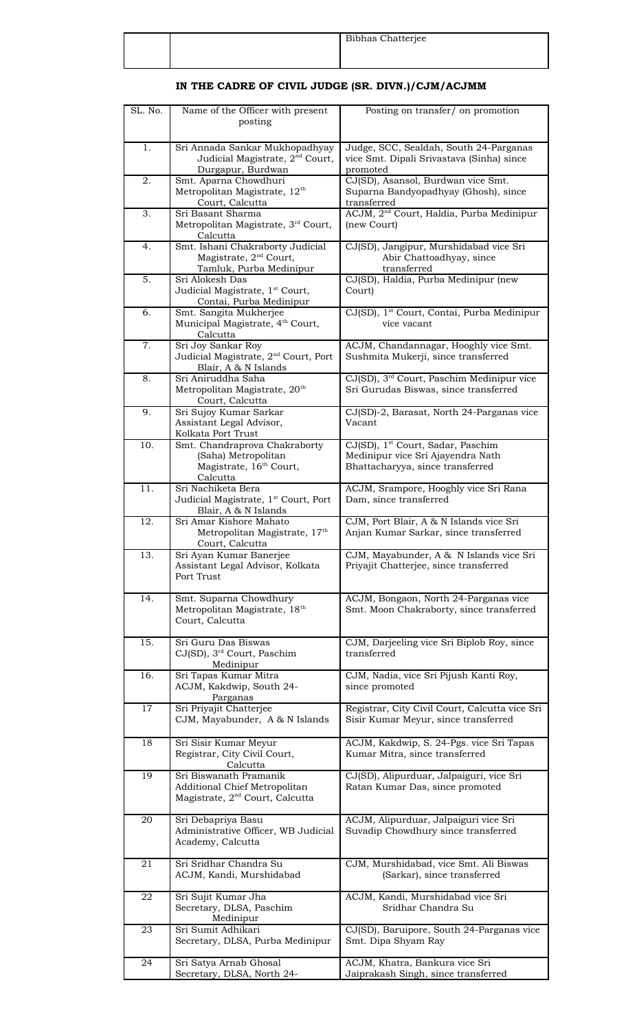|  | Bibhas Chatterjee |
|--|-------------------|
|  |                   |
|  |                   |

#### **IN THE CADRE OF CIVIL JUDGE (SR. DIVN.)/CJM/ACJMM**

| SL. No. | Name of the Officer with present<br>posting                                                             | Posting on transfer/ on promotion                                                                                      |
|---------|---------------------------------------------------------------------------------------------------------|------------------------------------------------------------------------------------------------------------------------|
| 1.      | Sri Annada Sankar Mukhopadhyay                                                                          | Judge, SCC, Sealdah, South 24-Parganas                                                                                 |
|         | Judicial Magistrate, 2 <sup>nd</sup> Court,<br>Durgapur, Burdwan                                        | vice Smt. Dipali Srivastava (Sinha) since<br>promoted                                                                  |
| 2.      | Smt. Aparna Chowdhuri<br>Metropolitan Magistrate, 12 <sup>th</sup><br>Court, Calcutta                   | CJ(SD), Asansol, Burdwan vice Smt.<br>Suparna Bandyopadhyay (Ghosh), since<br>transferred                              |
| 3.      | Sri Basant Sharma<br>Metropolitan Magistrate, 3rd Court,                                                | ACJM, 2 <sup>nd</sup> Court, Haldia, Purba Medinipur<br>(new Court)                                                    |
| 4.      | Calcutta<br>Smt. Ishani Chakraborty Judicial                                                            | CJ(SD), Jangipur, Murshidabad vice Sri                                                                                 |
|         | Magistrate, 2 <sup>nd</sup> Court,<br>Tamluk, Purba Medinipur                                           | Abir Chattoadhyay, since<br>transferred                                                                                |
| 5.      | Sri Alokesh Das<br>Judicial Magistrate, 1 <sup>st</sup> Court,<br>Contai, Purba Medinipur               | CJ(SD), Haldia, Purba Medinipur (new<br>Court)                                                                         |
| 6.      | Smt. Sangita Mukherjee<br>Municipal Magistrate, 4 <sup>th</sup> Court,<br>Calcutta                      | CJ(SD), 1 <sup>st</sup> Court, Contai, Purba Medinipur<br>vice vacant                                                  |
| 7.      | Sri Joy Sankar Roy<br>Judicial Magistrate, 2 <sup>nd</sup> Court, Port<br>Blair, A & N Islands          | ACJM, Chandannagar, Hooghly vice Smt.<br>Sushmita Mukerji, since transferred                                           |
| 8.      | Sri Aniruddha Saha<br>Metropolitan Magistrate, 20 <sup>th</sup><br>Court, Calcutta                      | CJ(SD), 3 <sup>rd</sup> Court, Paschim Medinipur vice<br>Sri Gurudas Biswas, since transferred                         |
| 9.      | Sri Sujoy Kumar Sarkar<br>Assistant Legal Advisor,<br>Kolkata Port Trust                                | CJ(SD)-2, Barasat, North 24-Parganas vice<br>Vacant                                                                    |
| 10.     | Smt. Chandraprova Chakraborty<br>(Saha) Metropolitan<br>Magistrate, 16 <sup>th</sup> Court,<br>Calcutta | CJ(SD), 1 <sup>st</sup> Court, Sadar, Paschim<br>Medinipur vice Sri Ajayendra Nath<br>Bhattacharyya, since transferred |
| 11.     | Sri Nachiketa Bera<br>Judicial Magistrate, 1 <sup>st</sup> Court, Port<br>Blair, A & N Islands          | ACJM, Srampore, Hooghly vice Sri Rana<br>Dam, since transferred                                                        |
| 12.     | Sri Amar Kishore Mahato<br>Metropolitan Magistrate, 17 <sup>th</sup><br>Court, Calcutta                 | CJM, Port Blair, A & N Islands vice Sri<br>Anjan Kumar Sarkar, since transferred                                       |
| 13.     | Sri Ayan Kumar Banerjee<br>Assistant Legal Advisor, Kolkata<br>Port Trust                               | CJM, Mayabunder, A & N Islands vice Sri<br>Priyajit Chatterjee, since transferred                                      |
| 14.     | Smt. Suparna Chowdhury<br>Metropolitan Magistrate, 18 <sup>th</sup><br>Court, Calcutta                  | ACJM, Bongaon, North 24-Parganas vice<br>Smt. Moon Chakraborty, since transferred                                      |
| 15.     | Sri Guru Das Biswas<br>CJ(SD), 3 <sup>rd</sup> Court, Paschim<br>Medinipur                              | CJM, Darjeeling vice Sri Biplob Roy, since<br>transferred                                                              |
| 16.     | Sri Tapas Kumar Mitra<br>ACJM, Kakdwip, South 24-<br>Parganas                                           | CJM, Nadia, vice Sri Pijush Kanti Roy,<br>since promoted                                                               |
| 17      | Sri Priyajit Chatterjee<br>CJM, Mayabunder, A & N Islands                                               | Registrar, City Civil Court, Calcutta vice Sri<br>Sisir Kumar Meyur, since transferred                                 |
| 18      | Sri Sisir Kumar Meyur<br>Registrar, City Civil Court,<br>Calcutta                                       | ACJM, Kakdwip, S. 24-Pgs. vice Sri Tapas<br>Kumar Mitra, since transferred                                             |
| 19      | Sri Biswanath Pramanik<br>Additional Chief Metropolitan<br>Magistrate, 2 <sup>nd</sup> Court, Calcutta  | CJ(SD), Alipurduar, Jalpaiguri, vice Sri<br>Ratan Kumar Das, since promoted                                            |
| 20      | Sri Debapriya Basu<br>Administrative Officer, WB Judicial<br>Academy, Calcutta                          | ACJM, Alipurduar, Jalpaiguri vice Sri<br>Suvadip Chowdhury since transferred                                           |
| 21      | Sri Sridhar Chandra Su<br>ACJM, Kandi, Murshidabad                                                      | CJM, Murshidabad, vice Smt. Ali Biswas<br>(Sarkar), since transferred                                                  |
| 22      | Sri Sujit Kumar Jha<br>Secretary, DLSA, Paschim<br>Medinipur                                            | ACJM, Kandi, Murshidabad vice Sri<br>Sridhar Chandra Su                                                                |
| 23      | Sri Sumit Adhikari<br>Secretary, DLSA, Purba Medinipur                                                  | CJ(SD), Baruipore, South 24-Parganas vice<br>Smt. Dipa Shyam Ray                                                       |
| 24      | Sri Satya Arnab Ghosal                                                                                  | ACJM, Khatra, Bankura vice Sri                                                                                         |
|         | Secretary, DLSA, North 24-                                                                              | Jaiprakash Singh, since transferred                                                                                    |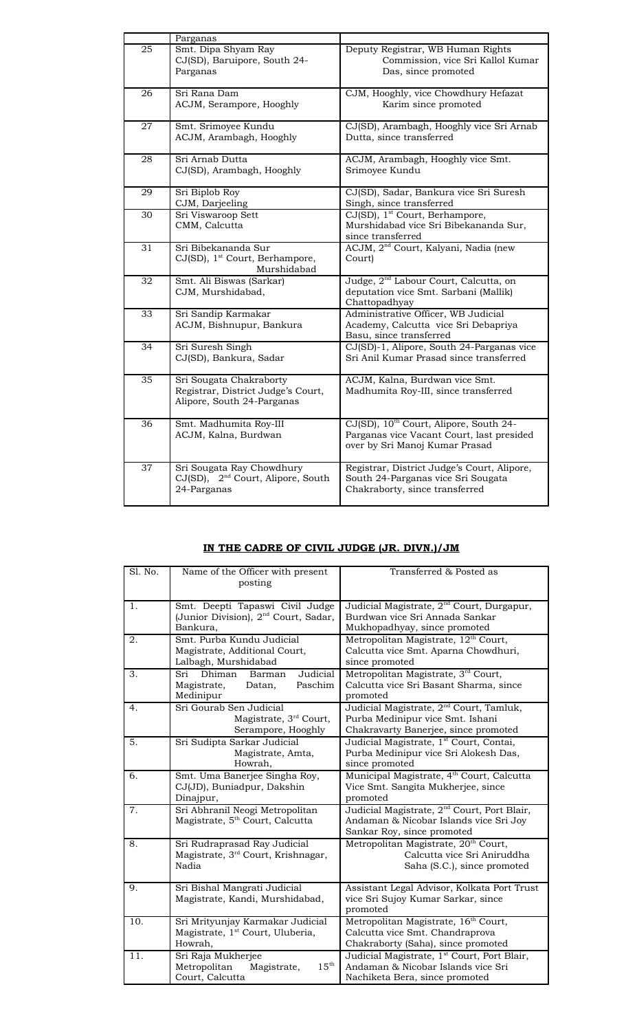|    | Parganas                                                                                     |                                                                                                                                   |
|----|----------------------------------------------------------------------------------------------|-----------------------------------------------------------------------------------------------------------------------------------|
| 25 | Smt. Dipa Shyam Ray<br>CJ(SD), Baruipore, South 24-<br>Parganas                              | Deputy Registrar, WB Human Rights<br>Commission, vice Sri Kallol Kumar<br>Das, since promoted                                     |
| 26 | Sri Rana Dam<br>ACJM, Serampore, Hooghly                                                     | CJM, Hooghly, vice Chowdhury Hefazat<br>Karim since promoted                                                                      |
| 27 | Smt. Srimoyee Kundu<br>ACJM, Arambagh, Hooghly                                               | CJ(SD), Arambagh, Hooghly vice Sri Arnab<br>Dutta, since transferred                                                              |
| 28 | Sri Arnab Dutta<br>CJ(SD), Arambagh, Hooghly                                                 | ACJM, Arambagh, Hooghly vice Smt.<br>Srimoyee Kundu                                                                               |
| 29 | Sri Biplob Roy<br>CJM, Darjeeling                                                            | CJ(SD), Sadar, Bankura vice Sri Suresh<br>Singh, since transferred                                                                |
| 30 | Sri Viswaroop Sett<br>CMM, Calcutta                                                          | CJ(SD), 1 <sup>st</sup> Court, Berhampore,<br>Murshidabad vice Sri Bibekananda Sur,<br>since transferred                          |
| 31 | Sri Bibekananda Sur<br>CJ(SD), 1 <sup>st</sup> Court, Berhampore,<br>Murshidabad             | ACJM, 2 <sup>nd</sup> Court, Kalyani, Nadia (new<br>Court)                                                                        |
| 32 | Smt. Ali Biswas (Sarkar)<br>CJM, Murshidabad,                                                | Judge, 2 <sup>nd</sup> Labour Court, Calcutta, on<br>deputation vice Smt. Sarbani (Mallik)<br>Chattopadhyay                       |
| 33 | Sri Sandip Karmakar<br>ACJM, Bishnupur, Bankura                                              | Administrative Officer, WB Judicial<br>Academy, Calcutta vice Sri Debapriya<br>Basu, since transferred                            |
| 34 | Sri Suresh Singh<br>CJ(SD), Bankura, Sadar                                                   | CJ(SD)-1, Alipore, South 24-Parganas vice<br>Sri Anil Kumar Prasad since transferred                                              |
| 35 | Sri Sougata Chakraborty<br>Registrar, District Judge's Court,<br>Alipore, South 24-Parganas  | ACJM, Kalna, Burdwan vice Smt.<br>Madhumita Roy-III, since transferred                                                            |
| 36 | Smt. Madhumita Roy-III<br>ACJM, Kalna, Burdwan                                               | CJ(SD), 10 <sup>th</sup> Court, Alipore, South 24-<br>Parganas vice Vacant Court, last presided<br>over by Sri Manoj Kumar Prasad |
| 37 | Sri Sougata Ray Chowdhury<br>CJ(SD),<br>2 <sup>nd</sup> Court, Alipore, South<br>24-Parganas | Registrar, District Judge's Court, Alipore,<br>South 24-Parganas vice Sri Sougata<br>Chakraborty, since transferred               |

## **IN THE CADRE OF CIVIL JUDGE (JR. DIVN.)/JM**

| Sl. No. | Name of the Officer with present                                                            | Transferred & Posted as                                                                                                         |
|---------|---------------------------------------------------------------------------------------------|---------------------------------------------------------------------------------------------------------------------------------|
|         | posting                                                                                     |                                                                                                                                 |
| 1.      | Smt. Deepti Tapaswi Civil Judge                                                             | Judicial Magistrate, 2 <sup>nd</sup> Court, Durgapur,                                                                           |
|         | (Junior Division), 2 <sup>nd</sup> Court, Sadar,<br>Bankura.                                | Burdwan vice Sri Annada Sankar<br>Mukhopadhyay, since promoted                                                                  |
| 2.      | Smt. Purba Kundu Judicial                                                                   | Metropolitan Magistrate, 12 <sup>th</sup> Court,                                                                                |
|         | Magistrate, Additional Court,<br>Lalbagh, Murshidabad                                       | Calcutta vice Smt. Aparna Chowdhuri,<br>since promoted                                                                          |
| 3.      | Judicial<br>Sri<br>Dhiman<br>Barman<br>Paschim<br>Magistrate,<br>Datan,<br>Medinipur        | Metropolitan Magistrate, 3rd Court,<br>Calcutta vice Sri Basant Sharma, since<br>promoted                                       |
| 4.      | Sri Gourab Sen Judicial<br>Magistrate, 3 <sup>rd</sup> Court,<br>Serampore, Hooghly         | Judicial Magistrate, 2 <sup>nd</sup> Court, Tamluk,<br>Purba Medinipur vice Smt. Ishani<br>Chakravarty Banerjee, since promoted |
| 5.      | Sri Sudipta Sarkar Judicial<br>Magistrate, Amta,<br>Howrah.                                 | Judicial Magistrate, 1st Court, Contai,<br>Purba Medinipur vice Sri Alokesh Das,<br>since promoted                              |
| 6.      | Smt. Uma Banerjee Singha Roy,<br>CJ(JD), Buniadpur, Dakshin<br>Dinajpur,                    | Municipal Magistrate, 4 <sup>th</sup> Court, Calcutta<br>Vice Smt. Sangita Mukherjee, since<br>promoted                         |
| 7.      | Sri Abhranil Neogi Metropolitan<br>Magistrate, 5 <sup>th</sup> Court, Calcutta              | Judicial Magistrate, 2 <sup>nd</sup> Court, Port Blair,<br>Andaman & Nicobar Islands vice Sri Joy<br>Sankar Roy, since promoted |
| 8.      | Sri Rudraprasad Ray Judicial<br>Magistrate, 3 <sup>rd</sup> Court, Krishnagar,<br>Nadia     | Metropolitan Magistrate, 20 <sup>th</sup> Court,<br>Calcutta vice Sri Aniruddha<br>Saha (S.C.), since promoted                  |
| 9.      | Sri Bishal Mangrati Judicial<br>Magistrate, Kandi, Murshidabad,                             | Assistant Legal Advisor, Kolkata Port Trust<br>vice Sri Sujoy Kumar Sarkar, since<br>promoted                                   |
| 10.     | Sri Mrityunjay Karmakar Judicial<br>Magistrate, 1 <sup>st</sup> Court, Uluberia,<br>Howrah, | Metropolitan Magistrate, 16 <sup>th</sup> Court,<br>Calcutta vice Smt. Chandraprova<br>Chakraborty (Saha), since promoted       |
| 11.     | Sri Raja Mukherjee<br>$15^{\text{th}}$<br>Metropolitan<br>Magistrate,<br>Court, Calcutta    | Judicial Magistrate, 1 <sup>st</sup> Court, Port Blair,<br>Andaman & Nicobar Islands vice Sri<br>Nachiketa Bera, since promoted |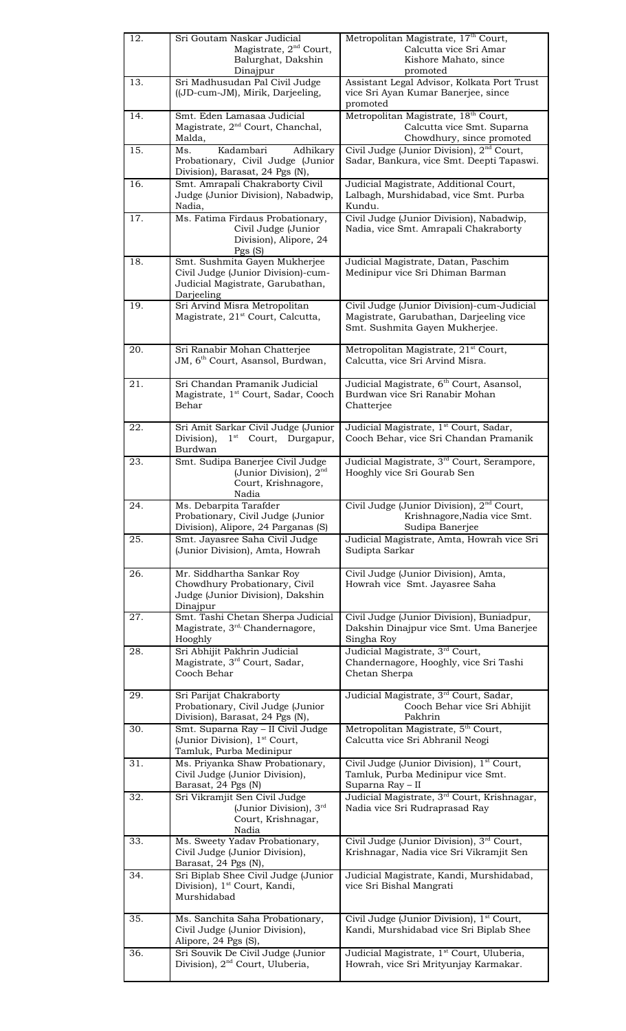| 12.        | Sri Goutam Naskar Judicial<br>Magistrate, 2 <sup>nd</sup> Court,                                                               | Metropolitan Magistrate, 17 <sup>th</sup> Court,<br>Calcutta vice Sri Amar                                                                                |
|------------|--------------------------------------------------------------------------------------------------------------------------------|-----------------------------------------------------------------------------------------------------------------------------------------------------------|
|            | Balurghat, Dakshin                                                                                                             | Kishore Mahato, since                                                                                                                                     |
|            | Dinajpur                                                                                                                       | promoted                                                                                                                                                  |
| 13.        | Sri Madhusudan Pal Civil Judge<br>((JD-cum-JM), Mirik, Darjeeling,                                                             | Assistant Legal Advisor, Kolkata Port Trust<br>vice Sri Ayan Kumar Banerjee, since<br>promoted                                                            |
| 14.        | Smt. Eden Lamasaa Judicial<br>Magistrate, 2 <sup>nd</sup> Court, Chanchal,<br>Malda,                                           | Metropolitan Magistrate, 18 <sup>th</sup> Court,<br>Calcutta vice Smt. Suparna<br>Chowdhury, since promoted                                               |
| 15.        | Ms.<br>Kadambari<br>Adhikary<br>Probationary, Civil Judge (Junior<br>Division), Barasat, 24 Pgs (N),                           | Civil Judge (Junior Division), 2 <sup>nd</sup> Court,<br>Sadar, Bankura, vice Smt. Deepti Tapaswi.                                                        |
| 16.        | Smt. Amrapali Chakraborty Civil<br>Judge (Junior Division), Nabadwip,<br>Nadia,                                                | Judicial Magistrate, Additional Court,<br>Lalbagh, Murshidabad, vice Smt. Purba<br>Kundu.                                                                 |
| 17.        | Ms. Fatima Firdaus Probationary,<br>Civil Judge (Junior<br>Division), Alipore, 24<br>Pgs(S)                                    | Civil Judge (Junior Division), Nabadwip,<br>Nadia, vice Smt. Amrapali Chakraborty                                                                         |
| 18.        | Smt. Sushmita Gayen Mukherjee<br>Civil Judge (Junior Division)-cum-<br>Judicial Magistrate, Garubathan,<br>Darjeeling          | Judicial Magistrate, Datan, Paschim<br>Medinipur vice Sri Dhiman Barman                                                                                   |
| 19.        | Sri Arvind Misra Metropolitan<br>Magistrate, 21 <sup>st</sup> Court, Calcutta,                                                 | Civil Judge (Junior Division)-cum-Judicial<br>Magistrate, Garubathan, Darjeeling vice<br>Smt. Sushmita Gayen Mukherjee.                                   |
| 20.        | Sri Ranabir Mohan Chatterjee<br>JM, 6 <sup>th</sup> Court, Asansol, Burdwan,                                                   | Metropolitan Magistrate, 21 <sup>st</sup> Court,<br>Calcutta, vice Sri Arvind Misra.                                                                      |
| 21.        | Sri Chandan Pramanik Judicial<br>Magistrate, 1 <sup>st</sup> Court, Sadar, Cooch<br>Behar                                      | Judicial Magistrate, 6 <sup>th</sup> Court, Asansol,<br>Burdwan vice Sri Ranabir Mohan<br>Chatterjee                                                      |
| 22.        | Sri Amit Sarkar Civil Judge (Junior<br>Division),<br>$1st$ Court, Durgapur,<br>Burdwan                                         | Judicial Magistrate, 1 <sup>st</sup> Court, Sadar,<br>Cooch Behar, vice Sri Chandan Pramanik                                                              |
| 23.        | Smt. Sudipa Banerjee Civil Judge<br>(Junior Division), 2 <sup>nd</sup><br>Court, Krishnagore,<br>Nadia                         | Judicial Magistrate, 3 <sup>rd</sup> Court, Serampore,<br>Hooghly vice Sri Gourab Sen                                                                     |
| 24.        | Ms. Debarpita Tarafder                                                                                                         | Civil Judge (Junior Division), 2 <sup>nd</sup> Court,                                                                                                     |
|            | Probationary, Civil Judge (Junior<br>Division), Alipore, 24 Parganas (S)                                                       | Krishnagore, Nadia vice Smt.<br>Sudipa Banerjee                                                                                                           |
| 25.        | Smt. Jayasree Saha Civil Judge<br>(Junior Division), Amta, Howrah                                                              | Judicial Magistrate, Amta, Howrah vice Sri<br>Sudipta Sarkar                                                                                              |
| 26.        | Mr. Siddhartha Sankar Roy<br>Chowdhury Probationary, Civil<br>Judge (Junior Division), Dakshin<br>Dinajpur                     | Civil Judge (Junior Division), Amta,<br>Howrah vice Smt. Jayasree Saha                                                                                    |
| 27.        | Smt. Tashi Chetan Sherpa Judicial<br>Magistrate, 3rd, Chandernagore,<br>Hooghly                                                | Civil Judge (Junior Division), Buniadpur,<br>Dakshin Dinajpur vice Smt. Uma Banerjee<br>Singha Roy                                                        |
| 28.        | Sri Abhijit Pakhrin Judicial<br>Magistrate, 3rd Court, Sadar,<br>Cooch Behar                                                   | Judicial Magistrate, 3rd Court,<br>Chandernagore, Hooghly, vice Sri Tashi<br>Chetan Sherpa                                                                |
| 29.        | Sri Parijat Chakraborty<br>Probationary, Civil Judge (Junior<br>Division), Barasat, 24 Pgs (N),                                | Judicial Magistrate, 3rd Court, Sadar,<br>Cooch Behar vice Sri Abhijit<br>Pakhrin                                                                         |
| 30.        | Smt. Suparna Ray - II Civil Judge<br>(Junior Division), 1 <sup>st</sup> Court,<br>Tamluk, Purba Medinipur                      | Metropolitan Magistrate, 5 <sup>th</sup> Court,<br>Calcutta vice Sri Abhranil Neogi                                                                       |
| 31.        | Ms. Priyanka Shaw Probationary,<br>Civil Judge (Junior Division),<br>Barasat, 24 Pgs (N)                                       | Civil Judge (Junior Division), 1 <sup>st</sup> Court,<br>Tamluk, Purba Medinipur vice Smt.<br>Suparna Ray - II                                            |
| 32.        | Sri Vikramjit Sen Civil Judge<br>(Junior Division), 3rd<br>Court, Krishnagar,<br>Nadia                                         | Judicial Magistrate, 3 <sup>rd</sup> Court, Krishnagar,<br>Nadia vice Sri Rudraprasad Ray                                                                 |
| 33.        | Ms. Sweety Yadav Probationary,<br>Civil Judge (Junior Division),<br>Barasat, 24 Pgs (N),                                       | Civil Judge (Junior Division), 3rd Court,<br>Krishnagar, Nadia vice Sri Vikramjit Sen                                                                     |
| 34.        | Sri Biplab Shee Civil Judge (Junior<br>Division), 1 <sup>st</sup> Court, Kandi,<br>Murshidabad                                 | Judicial Magistrate, Kandi, Murshidabad,<br>vice Sri Bishal Mangrati                                                                                      |
| 35.<br>36. | Ms. Sanchita Saha Probationary,<br>Civil Judge (Junior Division),<br>Alipore, 24 Pgs (S),<br>Sri Souvik De Civil Judge (Junior | Civil Judge (Junior Division), 1 <sup>st</sup> Court,<br>Kandi, Murshidabad vice Sri Biplab Shee<br>Judicial Magistrate, 1 <sup>st</sup> Court, Uluberia, |